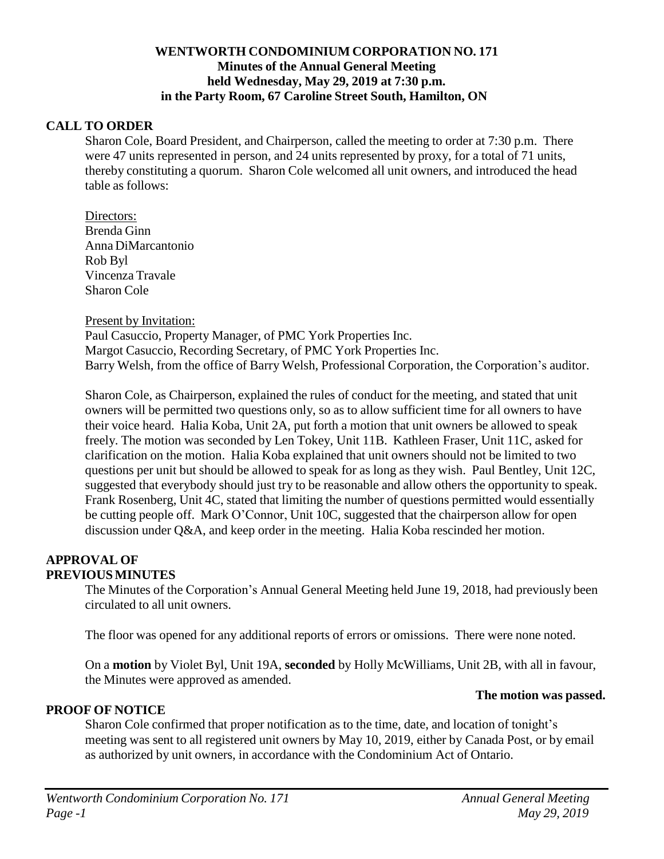## **WENTWORTH CONDOMINIUM CORPORATION NO. 171 Minutes of the Annual General Meeting held Wednesday, May 29, 2019 at 7:30 p.m. in the Party Room, 67 Caroline Street South, Hamilton, ON**

### **CALL TO ORDER**

Sharon Cole, Board President, and Chairperson, called the meeting to order at 7:30 p.m. There were 47 units represented in person, and 24 units represented by proxy, for a total of 71 units, thereby constituting a quorum. Sharon Cole welcomed all unit owners, and introduced the head table as follows:

Directors: Brenda Ginn Anna DiMarcantonio Rob Byl Vincenza Travale Sharon Cole

### Present by Invitation:

Paul Casuccio, Property Manager, of PMC York Properties Inc. Margot Casuccio, Recording Secretary, of PMC York Properties Inc. Barry Welsh, from the office of Barry Welsh, Professional Corporation, the Corporation's auditor.

Sharon Cole, as Chairperson, explained the rules of conduct for the meeting, and stated that unit owners will be permitted two questions only, so as to allow sufficient time for all owners to have their voice heard. Halia Koba, Unit 2A, put forth a motion that unit owners be allowed to speak freely. The motion was seconded by Len Tokey, Unit 11B. Kathleen Fraser, Unit 11C, asked for clarification on the motion. Halia Koba explained that unit owners should not be limited to two questions per unit but should be allowed to speak for as long as they wish. Paul Bentley, Unit 12C, suggested that everybody should just try to be reasonable and allow others the opportunity to speak. Frank Rosenberg, Unit 4C, stated that limiting the number of questions permitted would essentially be cutting people off. Mark O'Connor, Unit 10C, suggested that the chairperson allow for open discussion under Q&A, and keep order in the meeting. Halia Koba rescinded her motion.

#### **APPROVAL OF PREVIOUSMINUTES**

The Minutes of the Corporation's Annual General Meeting held June 19, 2018, had previously been circulated to all unit owners.

The floor was opened for any additional reports of errors or omissions. There were none noted.

On a **motion** by Violet Byl, Unit 19A, **seconded** by Holly McWilliams, Unit 2B, with all in favour, the Minutes were approved as amended.

## **PROOF OF NOTICE**

Sharon Cole confirmed that proper notification as to the time, date, and location of tonight's meeting was sent to all registered unit owners by May 10, 2019, either by Canada Post, or by email as authorized by unit owners, in accordance with the Condominium Act of Ontario.

## **The motion was passed.**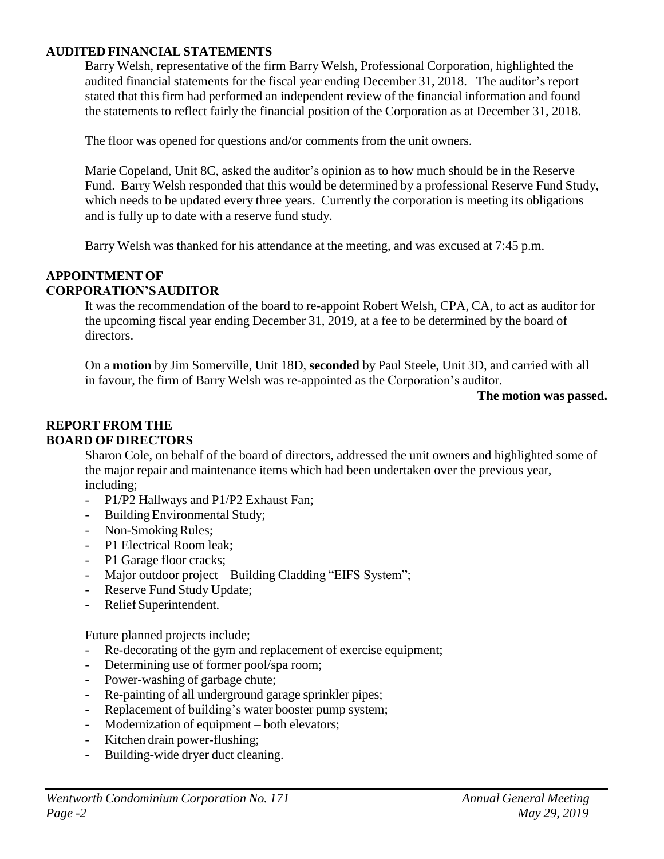## **AUDITED FINANCIAL STATEMENTS**

Barry Welsh, representative of the firm Barry Welsh, Professional Corporation, highlighted the audited financial statements for the fiscal year ending December 31, 2018. The auditor's report stated that this firm had performed an independent review of the financial information and found the statements to reflect fairly the financial position of the Corporation as at December 31, 2018.

The floor was opened for questions and/or comments from the unit owners.

Marie Copeland, Unit 8C, asked the auditor's opinion as to how much should be in the Reserve Fund. Barry Welsh responded that this would be determined by a professional Reserve Fund Study, which needs to be updated every three years. Currently the corporation is meeting its obligations and is fully up to date with a reserve fund study.

Barry Welsh was thanked for his attendance at the meeting, and was excused at 7:45 p.m.

#### **APPOINTMENT OF CORPORATION'SAUDITOR**

It was the recommendation of the board to re-appoint Robert Welsh, CPA, CA, to act as auditor for the upcoming fiscal year ending December 31, 2019, at a fee to be determined by the board of directors.

On a **motion** by Jim Somerville, Unit 18D, **seconded** by Paul Steele, Unit 3D, and carried with all in favour, the firm of Barry Welsh was re-appointed as the Corporation's auditor.

### **The motion was passed.**

## **REPORT FROM THE BOARD OF DIRECTORS**

Sharon Cole, on behalf of the board of directors, addressed the unit owners and highlighted some of the major repair and maintenance items which had been undertaken over the previous year, including;

- P1/P2 Hallways and P1/P2 Exhaust Fan;
- Building Environmental Study;
- Non-Smoking Rules:
- P1 Electrical Room leak;
- P1 Garage floor cracks;
- Major outdoor project Building Cladding "EIFS System";
- Reserve Fund Study Update;
- Relief Superintendent.

Future planned projects include;

- Re-decorating of the gym and replacement of exercise equipment;
- Determining use of former pool/spa room;
- Power-washing of garbage chute;
- Re-painting of all underground garage sprinkler pipes;
- Replacement of building's water booster pump system;
- Modernization of equipment both elevators;
- Kitchen drain power-flushing;
- Building-wide dryer duct cleaning.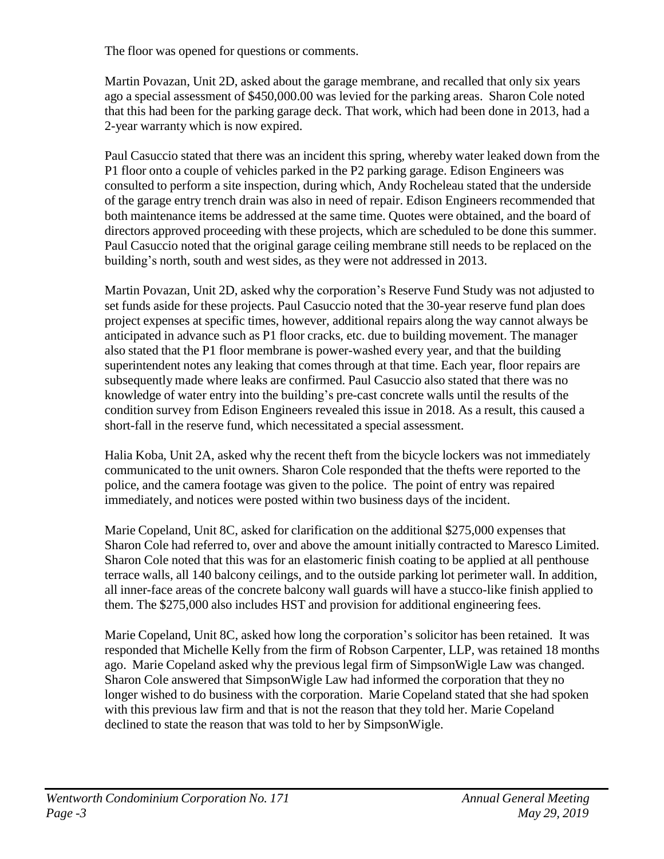The floor was opened for questions or comments.

Martin Povazan, Unit 2D, asked about the garage membrane, and recalled that only six years ago a special assessment of \$450,000.00 was levied for the parking areas. Sharon Cole noted that this had been for the parking garage deck. That work, which had been done in 2013, had a 2-year warranty which is now expired.

Paul Casuccio stated that there was an incident this spring, whereby water leaked down from the P1 floor onto a couple of vehicles parked in the P2 parking garage. Edison Engineers was consulted to perform a site inspection, during which, Andy Rocheleau stated that the underside of the garage entry trench drain was also in need of repair. Edison Engineers recommended that both maintenance items be addressed at the same time. Quotes were obtained, and the board of directors approved proceeding with these projects, which are scheduled to be done this summer. Paul Casuccio noted that the original garage ceiling membrane still needs to be replaced on the building's north, south and west sides, as they were not addressed in 2013.

Martin Povazan, Unit 2D, asked why the corporation's Reserve Fund Study was not adjusted to set funds aside for these projects. Paul Casuccio noted that the 30-year reserve fund plan does project expenses at specific times, however, additional repairs along the way cannot always be anticipated in advance such as P1 floor cracks, etc. due to building movement. The manager also stated that the P1 floor membrane is power-washed every year, and that the building superintendent notes any leaking that comes through at that time. Each year, floor repairs are subsequently made where leaks are confirmed. Paul Casuccio also stated that there was no knowledge of water entry into the building's pre-cast concrete walls until the results of the condition survey from Edison Engineers revealed this issue in 2018. As a result, this caused a short-fall in the reserve fund, which necessitated a special assessment.

Halia Koba, Unit 2A, asked why the recent theft from the bicycle lockers was not immediately communicated to the unit owners. Sharon Cole responded that the thefts were reported to the police, and the camera footage was given to the police. The point of entry was repaired immediately, and notices were posted within two business days of the incident.

Marie Copeland, Unit 8C, asked for clarification on the additional \$275,000 expenses that Sharon Cole had referred to, over and above the amount initially contracted to Maresco Limited. Sharon Cole noted that this was for an elastomeric finish coating to be applied at all penthouse terrace walls, all 140 balcony ceilings, and to the outside parking lot perimeter wall. In addition, all inner-face areas of the concrete balcony wall guards will have a stucco-like finish applied to them. The \$275,000 also includes HST and provision for additional engineering fees.

Marie Copeland, Unit 8C, asked how long the corporation's solicitor has been retained. It was responded that Michelle Kelly from the firm of Robson Carpenter, LLP, was retained 18 months ago. Marie Copeland asked why the previous legal firm of SimpsonWigle Law was changed. Sharon Cole answered that SimpsonWigle Law had informed the corporation that they no longer wished to do business with the corporation. Marie Copeland stated that she had spoken with this previous law firm and that is not the reason that they told her. Marie Copeland declined to state the reason that was told to her by SimpsonWigle.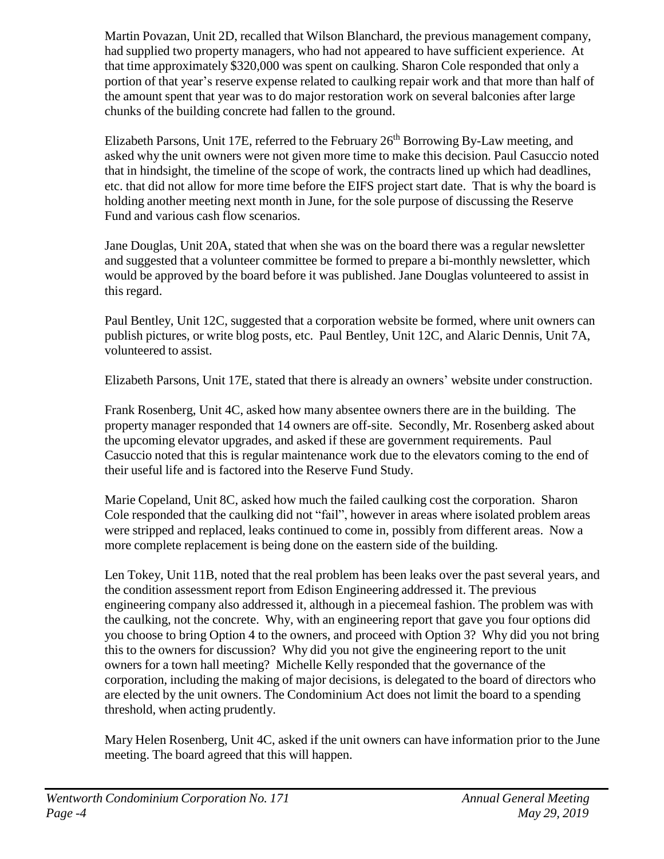Martin Povazan, Unit 2D, recalled that Wilson Blanchard, the previous management company, had supplied two property managers, who had not appeared to have sufficient experience. At that time approximately \$320,000 was spent on caulking. Sharon Cole responded that only a portion of that year's reserve expense related to caulking repair work and that more than half of the amount spent that year was to do major restoration work on several balconies after large chunks of the building concrete had fallen to the ground.

Elizabeth Parsons, Unit 17E, referred to the February  $26<sup>th</sup>$  Borrowing By-Law meeting, and asked why the unit owners were not given more time to make this decision. Paul Casuccio noted that in hindsight, the timeline of the scope of work, the contracts lined up which had deadlines, etc. that did not allow for more time before the EIFS project start date. That is why the board is holding another meeting next month in June, for the sole purpose of discussing the Reserve Fund and various cash flow scenarios.

Jane Douglas, Unit 20A, stated that when she was on the board there was a regular newsletter and suggested that a volunteer committee be formed to prepare a bi-monthly newsletter, which would be approved by the board before it was published. Jane Douglas volunteered to assist in this regard.

Paul Bentley, Unit 12C, suggested that a corporation website be formed, where unit owners can publish pictures, or write blog posts, etc. Paul Bentley, Unit 12C, and Alaric Dennis, Unit 7A, volunteered to assist.

Elizabeth Parsons, Unit 17E, stated that there is already an owners' website under construction.

Frank Rosenberg, Unit 4C, asked how many absentee owners there are in the building. The property manager responded that 14 owners are off-site. Secondly, Mr. Rosenberg asked about the upcoming elevator upgrades, and asked if these are government requirements. Paul Casuccio noted that this is regular maintenance work due to the elevators coming to the end of their useful life and is factored into the Reserve Fund Study.

Marie Copeland, Unit 8C, asked how much the failed caulking cost the corporation. Sharon Cole responded that the caulking did not "fail", however in areas where isolated problem areas were stripped and replaced, leaks continued to come in, possibly from different areas. Now a more complete replacement is being done on the eastern side of the building.

Len Tokey, Unit 11B, noted that the real problem has been leaks over the past several years, and the condition assessment report from Edison Engineering addressed it. The previous engineering company also addressed it, although in a piecemeal fashion. The problem was with the caulking, not the concrete. Why, with an engineering report that gave you four options did you choose to bring Option 4 to the owners, and proceed with Option 3? Why did you not bring this to the owners for discussion? Why did you not give the engineering report to the unit owners for a town hall meeting? Michelle Kelly responded that the governance of the corporation, including the making of major decisions, is delegated to the board of directors who are elected by the unit owners. The Condominium Act does not limit the board to a spending threshold, when acting prudently.

Mary Helen Rosenberg, Unit 4C, asked if the unit owners can have information prior to the June meeting. The board agreed that this will happen.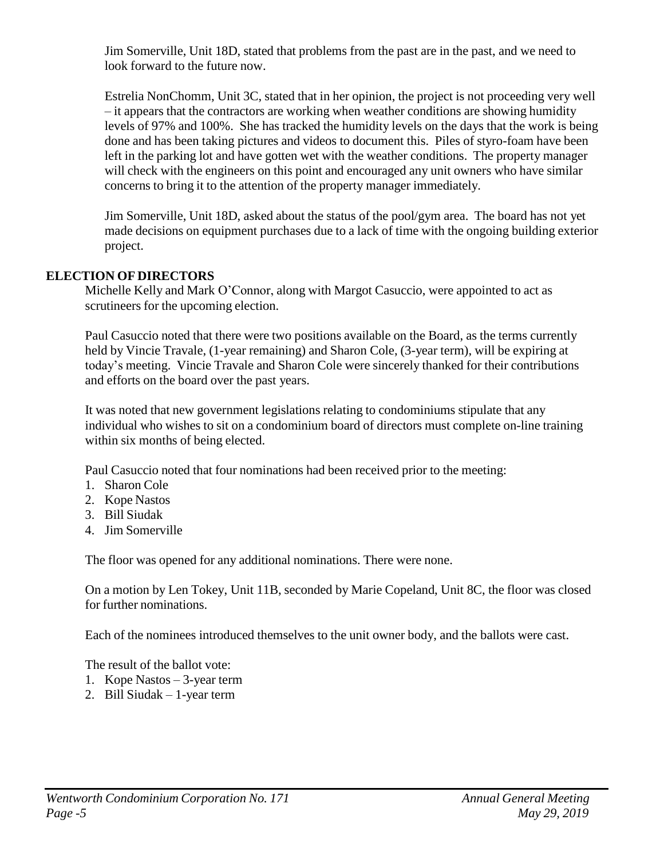Jim Somerville, Unit 18D, stated that problems from the past are in the past, and we need to look forward to the future now.

Estrelia NonChomm, Unit 3C, stated that in her opinion, the project is not proceeding very well – it appears that the contractors are working when weather conditions are showing humidity levels of 97% and 100%. She has tracked the humidity levels on the days that the work is being done and has been taking pictures and videos to document this. Piles of styro-foam have been left in the parking lot and have gotten wet with the weather conditions. The property manager will check with the engineers on this point and encouraged any unit owners who have similar concerns to bring it to the attention of the property manager immediately.

Jim Somerville, Unit 18D, asked about the status of the pool/gym area. The board has not yet made decisions on equipment purchases due to a lack of time with the ongoing building exterior project.

# **ELECTION OF DIRECTORS**

Michelle Kelly and Mark O'Connor, along with Margot Casuccio, were appointed to act as scrutineers for the upcoming election.

Paul Casuccio noted that there were two positions available on the Board, as the terms currently held by Vincie Travale, (1-year remaining) and Sharon Cole, (3-year term), will be expiring at today's meeting. Vincie Travale and Sharon Cole were sincerely thanked for their contributions and efforts on the board over the past years.

It was noted that new government legislations relating to condominiums stipulate that any individual who wishes to sit on a condominium board of directors must complete on-line training within six months of being elected.

Paul Casuccio noted that four nominations had been received prior to the meeting:

- 1. Sharon Cole
- 2. Kope Nastos
- 3. Bill Siudak
- 4. Jim Somerville

The floor was opened for any additional nominations. There were none.

On a motion by Len Tokey, Unit 11B, seconded by Marie Copeland, Unit 8C, the floor was closed for further nominations.

Each of the nominees introduced themselves to the unit owner body, and the ballots were cast.

The result of the ballot vote:

- 1. Kope Nastos 3-year term
- 2. Bill Siudak 1-year term